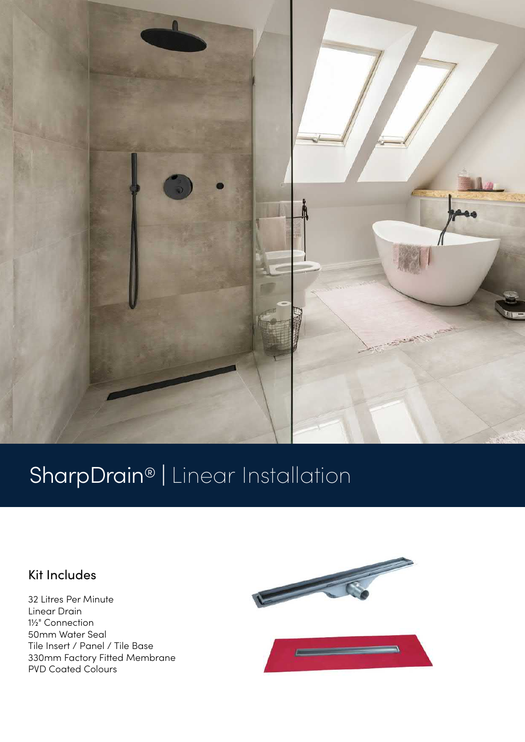

# SharpDrain® | Linear Installation

### Kit Includes

32 Litres Per Minute Linear Drain 1½" Connection 50mm Water Seal Tile Insert / Panel / Tile Base 330mm Factory Fitted Membrane PVD Coated Colours

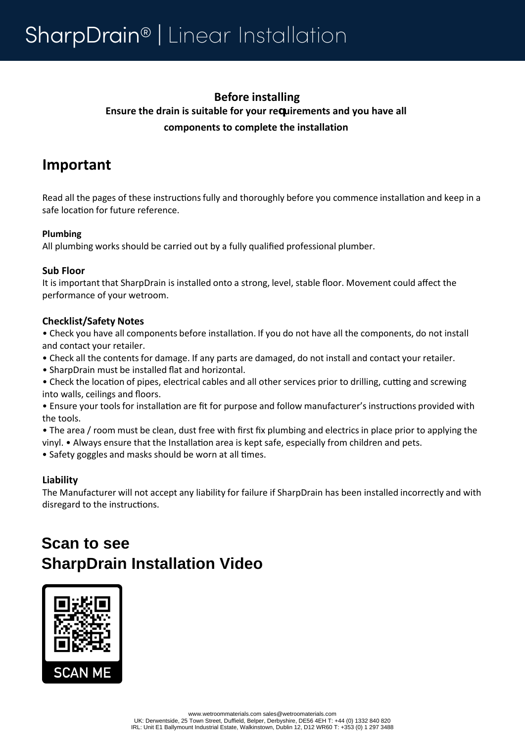### **Before installing Ensure the drain is suitable for your requirements and you have all components to complete the installation**

## **Important**

Read all the pages of these instructions fully and thoroughly before you commence installation and keep in a safe location for future reference.

#### **Plumbing**

All plumbing works should be carried out by a fully qualified professional plumber.

#### **Sub Floor**

It is important that SharpDrain is installed onto a strong, level, stable floor. Movement could affect the performance of your wetroom.

#### **Checklist/Safety Notes**

• Check you have all components before installation. If you do not have all the components, do not install and contact your retailer.

- Check all the contents for damage. If any parts are damaged, do not install and contact your retailer.
- SharpDrain must be installed flat and horizontal.

• Check the location of pipes, electrical cables and all other services prior to drilling, cutting and screwing into walls, ceilings and floors.

• Ensure your tools for installation are fit for purpose and follow manufacturer's instructions provided with the tools.

• The area / room must be clean, dust free with first fix plumbing and electrics in place prior to applying the vinyl. • Always ensure that the Installation area is kept safe, especially from children and pets.

• Safety goggles and masks should be worn at all times.

### **Liability**

The Manufacturer will not accept any liability for failure if SharpDrain has been installed incorrectly and with disregard to the instructions.

# **Scan to see SharpDrain Installation Video**

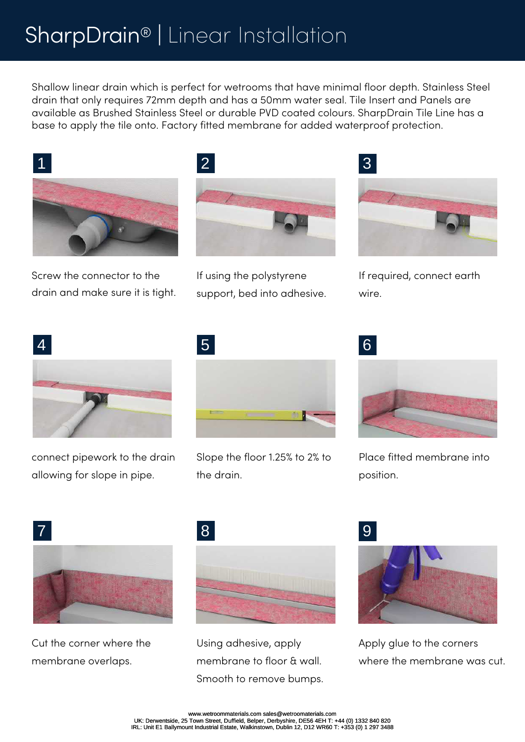# SharpDrain® | Linear Installation

Shallow linear drain which is perfect for wetrooms that have minimal floor depth. Stainless Steel drain that only requires 72mm depth and has a 50mm water seal. Tile Insert and Panels are available as Brushed Stainless Steel or durable PVD coated colours. SharpDrain Tile Line has a base to apply the tile onto. Factory fitted membrane for added waterproof protection.



Screw the connector to the drain and make sure it is tight.



If using the polystyrene support, bed into adhesive.



If required, connect earth wire.



connect pipework to the drain allowing for slope in pipe.



Slope the floor 1.25% to 2% to the drain.



Place fitted membrane into position.



Cut the corner where the membrane overlaps.



Using adhesive, apply membrane to floor & wall. Smooth to remove bumps.



Apply glue to the corners where the membrane was cut.